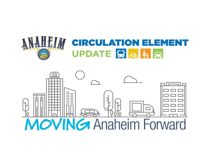

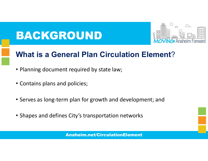# BACKGROUND



## What is a General Plan Circulation Element?

- Planning document required by state law;
- Contains plans and policies;
- Serves as long-term plan for growth and development; and
- Shapes and defines City's transportation networks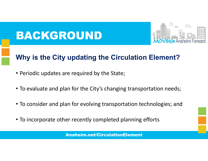## BACKGROUND



## Why is the City updating the Circulation Element?

- Periodic updates are required by the State;
- To evaluate and plan for the City's changing transportation needs;
- To consider and plan for evolving transportation technologies; and
- To incorporate other recently completed planning efforts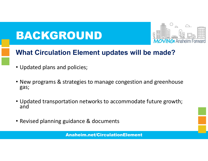## BACKGROUND



### What Circulation Element updates will be made?

- Updated plans and policies;
- New programs & strategies to manage congestion and greenhouse gas;
- Updated transportation networks to accommodate future growth; and
- Revised planning guidance & documents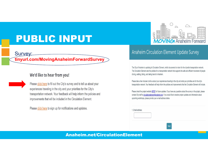## PUBLIC INPUT

#### Survey: tinyurl.com/MovingAnaheimForwardSurvey

#### We'd like to hear from you!

Please click here to fill out the City's survey and to tell us about your experiences traveling in the city and your priorities for the City's transportation network. Your feedback will help inform the policies and improvements that will be included in the Circulation Element.

Please click here to sign up for notifications and updates.



#### Anaheim Circulation Element Update Survey

The City of Anaheim is updating its Circulation Element, which documents its vision for the citywide transportation network. The Circulation Element sets the policies for a transportation network that supports the safe and efficient movement of people driving, walking, biking, and taking transit in Anaheim.

Please take a few minutes to tell us about your experiences traveling in the city and what your priorities are for the city's transportation network. Your feedback will help inform the policies and improvements that the Circulation Element will include.

Please check the project website HERE for future updates. If you have any questions about the survey or the project, please contact City staff at circulationelement@anaheim.net. If you would like to receive project updates and information about upcoming workshops, please provide your e-mail address below.

1. Email address:

**Next**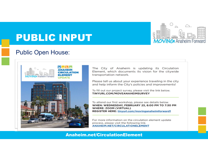

## PUBLIC INPUT

#### Public Open House:



The City of Anaheim is updating its Circulation Element, which documents its vision for the citywide transportation network.

Please tell us about your experience traveling in the city and help inform the City's policies and improvements!

To fill out our project survey, please visit the link below. TINYURL.COM/MOVEANAHEIMSURVEY

To attend our first workshop, please see details below. WHEN: WEDNESDAY, FEBRUARY 23, 6:00 PM TO 7:30 PM **WHERE: ZOOM (VIRTUAL) REGISTER HERE: tinyurl.com/movinganaheimforward1** 

For more information on the circulation element update process, please visit the following link. ANAHEIM.NET/CIRCULATIONELEMENT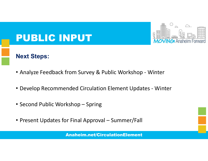

## PUBLIC INPUT

#### Next Steps:

- 
- Analyze Feedback from Survey & Public Workshop Winter<br>• Develop Recommended Circulation Element Updates Winter<br>• Second Public Workshop Spring<br>• Present Updates for Final Approval Summer/Fall • Analyze Feedback from Survey & Public Workshop - Winter<br>• Develop Recommended Circulation Element Updates - Winter<br>• Second Public Workshop – Spring<br>• Present Updates for Final Approval – Summer/Fall<br>• Anaheim.net/Gircul
- 
-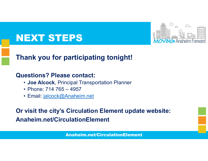

## NEXT STEPS

# Thank you for participating tonight! **EXT STEPS**<br> **EXT STEPS**<br> **ARRET STEPS**<br> **ARRET STEPS**<br> **ARRET STEPS**<br> **CONEX PROPERENT:**<br> **Phone: 714 765 – 4957<br>
<b>CONEX PROPERENT:**<br> **Phone: 714 765 – 4957<br>
• Email: <u>jalcock@Anaheim.net</u> EXT STEPS**<br>ank you for participating tor<br>estions? Please contact:<br>• Joe Alcock, Principal Transportation F<br>• Phone: 714 765 – 4957<br>• Email: <u>jalcock@Anaheim.net</u><br>visit the city's Circulation Eleme

#### Questions? Please contact:

- Joe Alcock, Principal Transportation Planner
- 
- 

Or visit the city's Circulation Element update website: Anaheim.net/CirculationElement